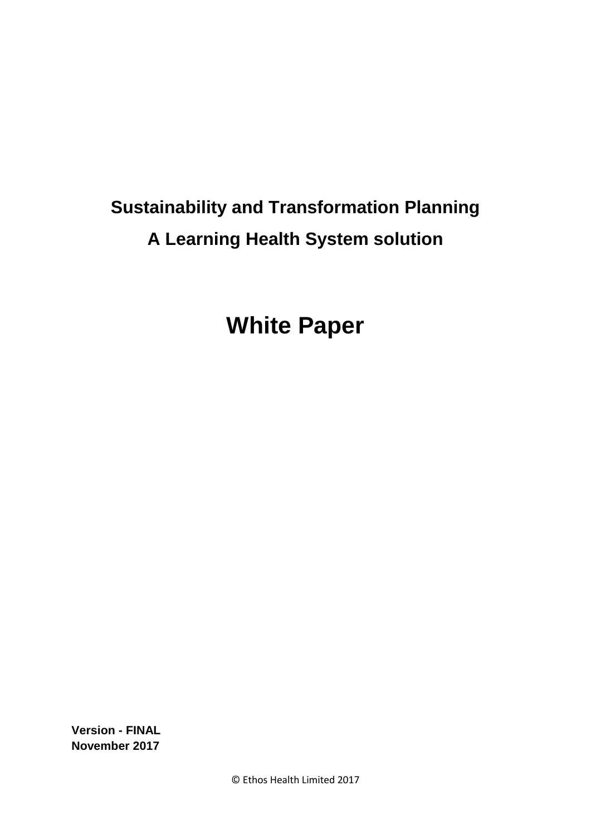# **Sustainability and Transformation Planning A Learning Health System solution**

**White Paper**

**Version - FINAL November 2017**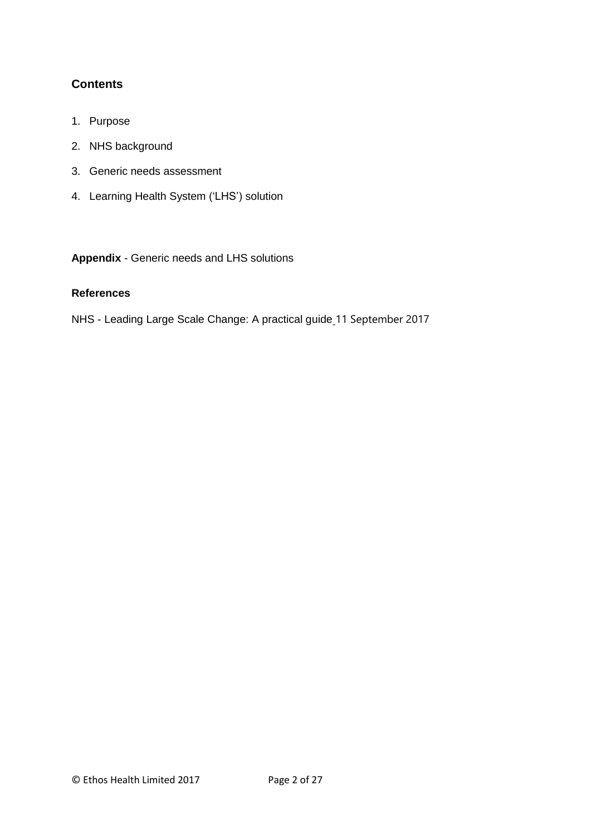# **Contents**

- 1. Purpose
- 2. NHS background
- 3. Generic needs assessment
- 4. Learning Health System ('LHS') solution

**Appendix** - Generic needs and LHS solutions

# **References**

NHS - [Leading Large Scale Change: A practical guide](https://www.england.nhs.uk/publication/leading-large-scale-change/) 11 September 2017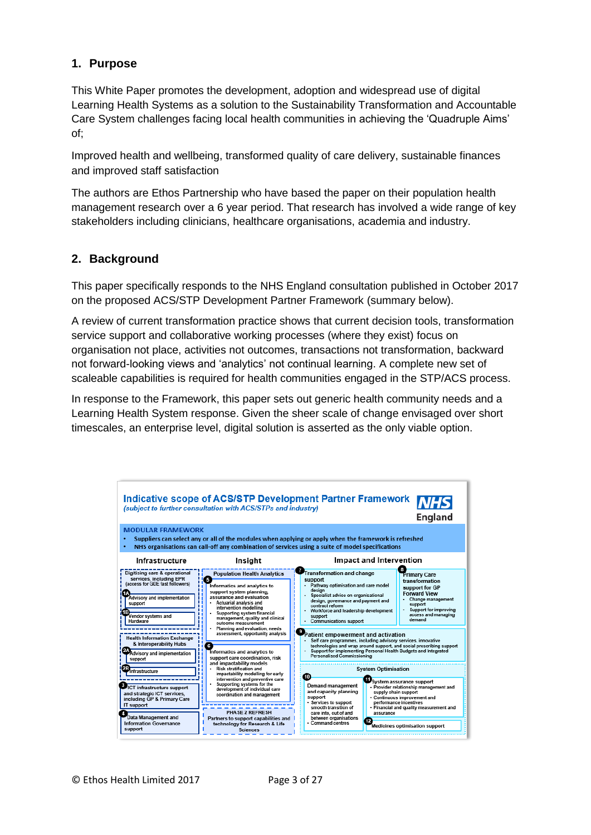# **1. Purpose**

This White Paper promotes the development, adoption and widespread use of digital Learning Health Systems as a solution to the Sustainability Transformation and Accountable Care System challenges facing local health communities in achieving the 'Quadruple Aims' of;

Improved health and wellbeing, transformed quality of care delivery, sustainable finances and improved staff satisfaction

The authors are Ethos Partnership who have based the paper on their population health management research over a 6 year period. That research has involved a wide range of key stakeholders including clinicians, healthcare organisations, academia and industry.

# **2. Background**

This paper specifically responds to the NHS England consultation published in October 2017 on the proposed [ACS/STP Development Partner Framework](http://ted.europa.eu/TED/notice/udl?uri=TED:NOTICE:427840-2017:TEXT:EN:HTML&tabId=1) (summary below).

A review of current transformation practice shows that current decision tools, transformation service support and collaborative working processes (where they exist) focus on organisation not place, activities not outcomes, transactions not transformation, backward not forward-looking views and 'analytics' not continual learning. A complete new set of scaleable capabilities is required for health communities engaged in the STP/ACS process.

In response to the Framework, this paper sets out generic health community needs and a Learning Health System response. Given the sheer scale of change envisaged over short timescales, an enterprise level, digital solution is asserted as the only viable option.

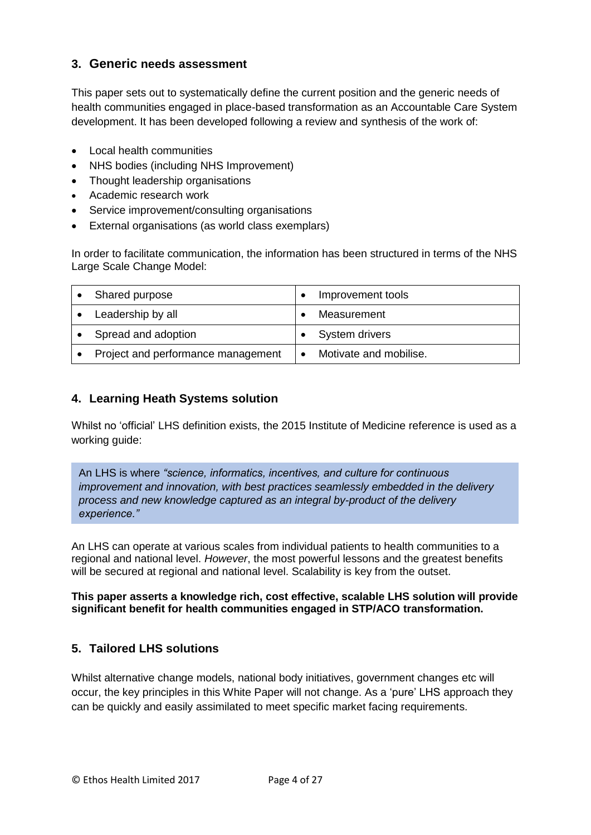# **3. Generic needs assessment**

This paper sets out to systematically define the current position and the generic needs of health communities engaged in place-based transformation as an Accountable Care System development. It has been developed following a review and synthesis of the work of:

- Local health communities
- NHS bodies (including NHS Improvement)
- Thought leadership organisations
- Academic research work
- Service improvement/consulting organisations
- External organisations (as world class exemplars)

In order to facilitate communication, the information has been structured in terms of the NHS Large Scale Change Model:

| Shared purpose                     | Improvement tools      |
|------------------------------------|------------------------|
| Leadership by all                  | Measurement            |
| Spread and adoption                | System drivers         |
| Project and performance management | Motivate and mobilise. |

# **4. Learning Heath Systems solution**

Whilst no 'official' LHS definition exists, the 2015 Institute of Medicine reference is used as a working guide:

An LHS is where *"science, informatics, incentives, and culture for continuous improvement and innovation, with best practices seamlessly embedded in the delivery process and new knowledge captured as an integral by-product of the delivery experience."*

An LHS can operate at various scales from individual patients to health communities to a regional and national level. *However*, the most powerful lessons and the greatest benefits will be secured at regional and national level. Scalability is key from the outset.

#### **This paper asserts a knowledge rich, cost effective, scalable LHS solution will provide significant benefit for health communities engaged in STP/ACO transformation.**

# **5. Tailored LHS solutions**

Whilst alternative change models, national body initiatives, government changes etc will occur, the key principles in this White Paper will not change. As a 'pure' LHS approach they can be quickly and easily assimilated to meet specific market facing requirements.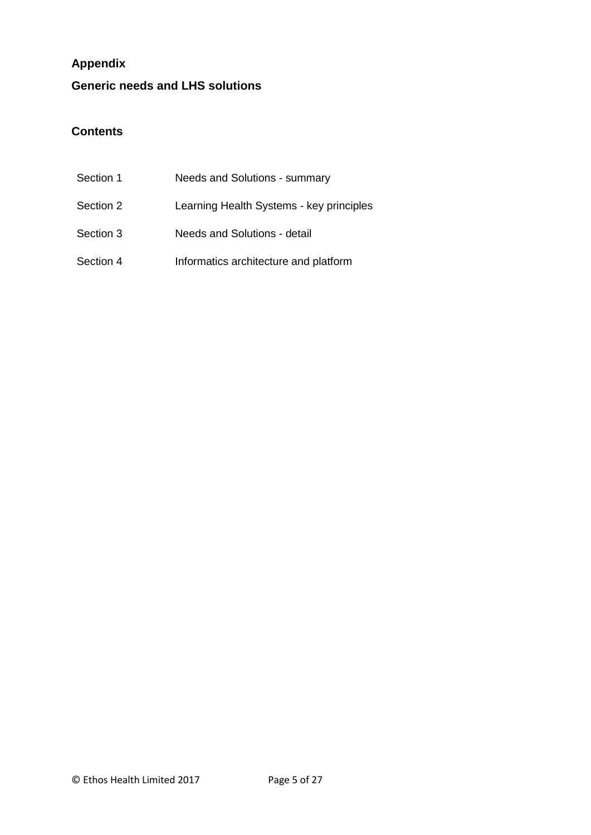# **Appendix**

# **Generic needs and LHS solutions**

# **Contents**

| Section 1 | Needs and Solutions - summary            |
|-----------|------------------------------------------|
| Section 2 | Learning Health Systems - key principles |
| Section 3 | Needs and Solutions - detail             |
| Section 4 | Informatics architecture and platform    |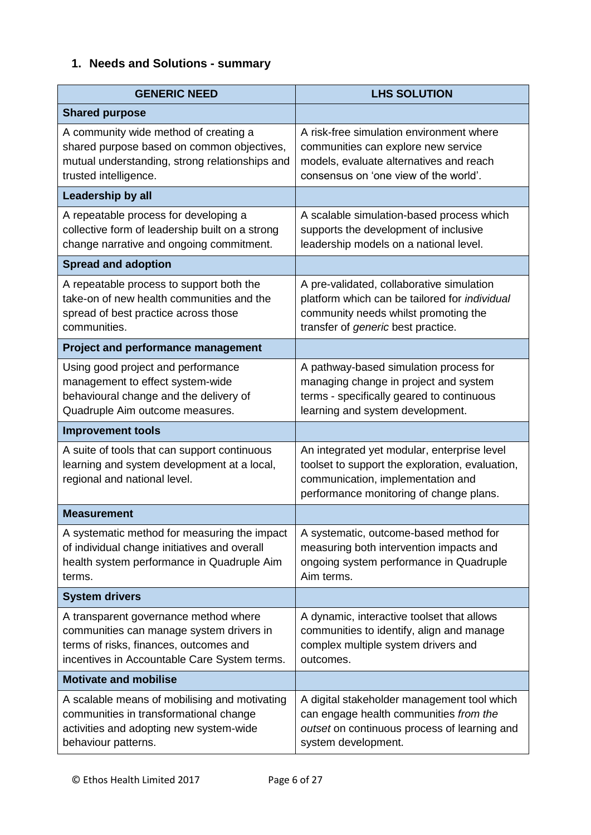# **1. Needs and Solutions - summary**

| <b>GENERIC NEED</b>                                                                                                                                                         | <b>LHS SOLUTION</b>                                                                                                                                                             |
|-----------------------------------------------------------------------------------------------------------------------------------------------------------------------------|---------------------------------------------------------------------------------------------------------------------------------------------------------------------------------|
| <b>Shared purpose</b>                                                                                                                                                       |                                                                                                                                                                                 |
| A community wide method of creating a<br>shared purpose based on common objectives,<br>mutual understanding, strong relationships and<br>trusted intelligence.              | A risk-free simulation environment where<br>communities can explore new service<br>models, evaluate alternatives and reach<br>consensus on 'one view of the world'.             |
| Leadership by all                                                                                                                                                           |                                                                                                                                                                                 |
| A repeatable process for developing a<br>collective form of leadership built on a strong<br>change narrative and ongoing commitment.                                        | A scalable simulation-based process which<br>supports the development of inclusive<br>leadership models on a national level.                                                    |
| <b>Spread and adoption</b>                                                                                                                                                  |                                                                                                                                                                                 |
| A repeatable process to support both the<br>take-on of new health communities and the<br>spread of best practice across those<br>communities.                               | A pre-validated, collaborative simulation<br>platform which can be tailored for individual<br>community needs whilst promoting the<br>transfer of <i>generic</i> best practice. |
| <b>Project and performance management</b>                                                                                                                                   |                                                                                                                                                                                 |
| Using good project and performance<br>management to effect system-wide<br>behavioural change and the delivery of<br>Quadruple Aim outcome measures.                         | A pathway-based simulation process for<br>managing change in project and system<br>terms - specifically geared to continuous<br>learning and system development.                |
| <b>Improvement tools</b>                                                                                                                                                    |                                                                                                                                                                                 |
| A suite of tools that can support continuous<br>learning and system development at a local,<br>regional and national level.                                                 | An integrated yet modular, enterprise level<br>toolset to support the exploration, evaluation,<br>communication, implementation and<br>performance monitoring of change plans.  |
| <b>Measurement</b>                                                                                                                                                          |                                                                                                                                                                                 |
| A systematic method for measuring the impact<br>of individual change initiatives and overall<br>health system performance in Quadruple Aim<br>terms.                        | A systematic, outcome-based method for<br>measuring both intervention impacts and<br>ongoing system performance in Quadruple<br>Aim terms.                                      |
| <b>System drivers</b>                                                                                                                                                       |                                                                                                                                                                                 |
| A transparent governance method where<br>communities can manage system drivers in<br>terms of risks, finances, outcomes and<br>incentives in Accountable Care System terms. | A dynamic, interactive toolset that allows<br>communities to identify, align and manage<br>complex multiple system drivers and<br>outcomes.                                     |
| <b>Motivate and mobilise</b>                                                                                                                                                |                                                                                                                                                                                 |
| A scalable means of mobilising and motivating<br>communities in transformational change<br>activities and adopting new system-wide<br>behaviour patterns.                   | A digital stakeholder management tool which<br>can engage health communities from the<br>outset on continuous process of learning and<br>system development.                    |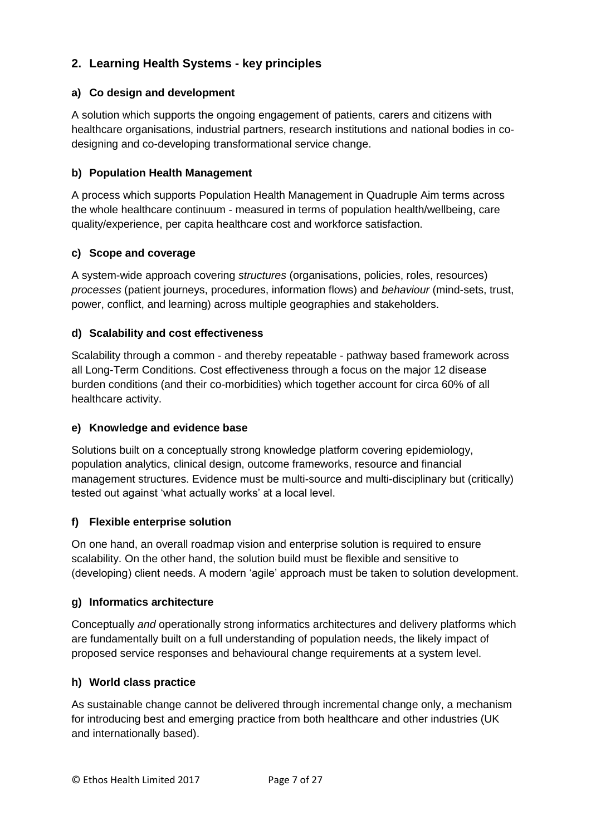# **2. Learning Health Systems - key principles**

# **a) Co design and development**

A solution which supports the ongoing engagement of patients, carers and citizens with healthcare organisations, industrial partners, research institutions and national bodies in codesigning and co-developing transformational service change.

# **b) Population Health Management**

A process which supports Population Health Management in Quadruple Aim terms across the whole healthcare continuum - measured in terms of population health/wellbeing, care quality/experience, per capita healthcare cost and workforce satisfaction.

# **c) Scope and coverage**

A system-wide approach covering *structures* (organisations, policies, roles, resources) *processes* (patient journeys, procedures, information flows) and *behaviour* (mind-sets, trust, power, conflict, and learning) across multiple geographies and stakeholders.

# **d) Scalability and cost effectiveness**

Scalability through a common - and thereby repeatable - pathway based framework across all Long-Term Conditions. Cost effectiveness through a focus on the major 12 disease burden conditions (and their co-morbidities) which together account for circa 60% of all healthcare activity.

#### **e) Knowledge and evidence base**

Solutions built on a conceptually strong knowledge platform covering epidemiology, population analytics, clinical design, outcome frameworks, resource and financial management structures. Evidence must be multi-source and multi-disciplinary but (critically) tested out against 'what actually works' at a local level.

#### **f) Flexible enterprise solution**

On one hand, an overall roadmap vision and enterprise solution is required to ensure scalability. On the other hand, the solution build must be flexible and sensitive to (developing) client needs. A modern 'agile' approach must be taken to solution development.

#### **g) Informatics architecture**

Conceptually *and* operationally strong informatics architectures and delivery platforms which are fundamentally built on a full understanding of population needs, the likely impact of proposed service responses and behavioural change requirements at a system level.

#### **h) World class practice**

As sustainable change cannot be delivered through incremental change only, a mechanism for introducing best and emerging practice from both healthcare and other industries (UK and internationally based).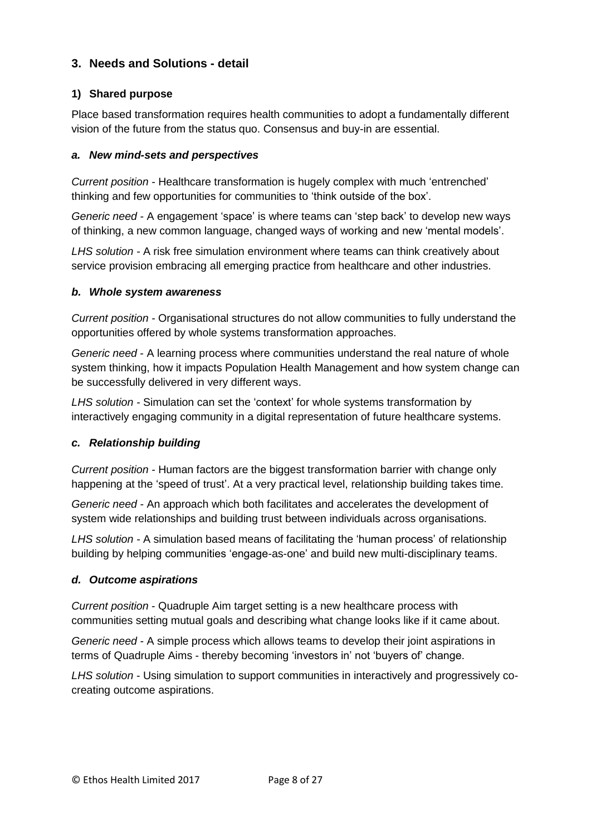# **3. Needs and Solutions - detail**

# **1) Shared purpose**

Place based transformation requires health communities to adopt a fundamentally different vision of the future from the status quo. Consensus and buy-in are essential.

#### *a. New mind-sets and perspectives*

*Current position -* Healthcare transformation is hugely complex with much 'entrenched' thinking and few opportunities for communities to 'think outside of the box'.

*Generic need -* A engagement 'space' is where teams can 'step back' to develop new ways of thinking, a new common language, changed ways of working and new 'mental models'.

*LHS solution -* A risk free simulation environment where teams can think creatively about service provision embracing all emerging practice from healthcare and other industries.

#### *b. Whole system awareness*

*Current position -* Organisational structures do not allow communities to fully understand the opportunities offered by whole systems transformation approaches.

*Generic need* - A learning process where *c*ommunities understand the real nature of whole system thinking, how it impacts Population Health Management and how system change can be successfully delivered in very different ways.

*LHS solution -* Simulation can set the 'context' for whole systems transformation by interactively engaging community in a digital representation of future healthcare systems.

# *c. Relationship building*

*Current position -* Human factors are the biggest transformation barrier with change only happening at the 'speed of trust'. At a very practical level, relationship building takes time.

*Generic need -* An approach which both facilitates and accelerates the development of system wide relationships and building trust between individuals across organisations.

*LHS solution -* A simulation based means of facilitating the 'human process' of relationship building by helping communities 'engage-as-one' and build new multi-disciplinary teams.

#### *d. Outcome aspirations*

*Current position* - Quadruple Aim target setting is a new healthcare process with communities setting mutual goals and describing what change looks like if it came about.

*Generic need -* A simple process which allows teams to develop their joint aspirations in terms of Quadruple Aims - thereby becoming 'investors in' not 'buyers of' change.

*LHS solution* - Using simulation to support communities in interactively and progressively cocreating outcome aspirations.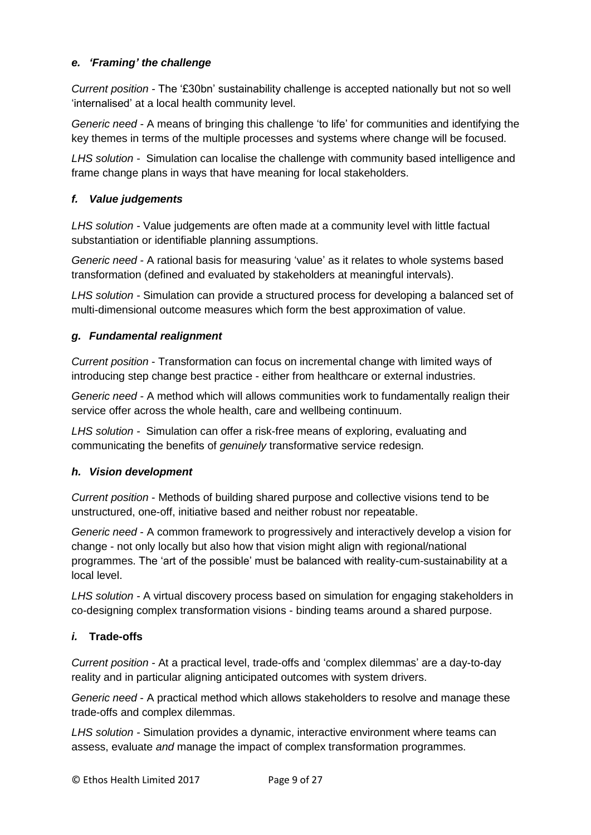# *e. 'Framing' the challenge*

*Current position -* The '£30bn' sustainability challenge is accepted nationally but not so well 'internalised' at a local health community level.

*Generic need -* A means of bringing this challenge 'to life' for communities and identifying the key themes in terms of the multiple processes and systems where change will be focused.

*LHS solution -* Simulation can localise the challenge with community based intelligence and frame change plans in ways that have meaning for local stakeholders.

# *f. Value judgements*

*LHS solution -* Value judgements are often made at a community level with little factual substantiation or identifiable planning assumptions.

*Generic need -* A rational basis for measuring 'value' as it relates to whole systems based transformation (defined and evaluated by stakeholders at meaningful intervals).

*LHS solution -* Simulation can provide a structured process for developing a balanced set of multi-dimensional outcome measures which form the best approximation of value.

# *g. Fundamental realignment*

*Current position* - Transformation can focus on incremental change with limited ways of introducing step change best practice - either from healthcare or external industries.

*Generic need -* A method which will allows communities work to fundamentally realign their service offer across the whole health, care and wellbeing continuum.

*LHS solution -* Simulation can offer a risk-free means of exploring, evaluating and communicating the benefits of *genuinely* transformative service redesign.

# *h. Vision development*

*Current position* - Methods of building shared purpose and collective visions tend to be unstructured, one-off, initiative based and neither robust nor repeatable.

*Generic need* - A common framework to progressively and interactively develop a vision for change - not only locally but also how that vision might align with regional/national programmes. The 'art of the possible' must be balanced with reality-cum-sustainability at a local level.

*LHS solution -* A virtual discovery process based on simulation for engaging stakeholders in co-designing complex transformation visions - binding teams around a shared purpose.

# *i.* **Trade-offs**

*Current position -* At a practical level, trade-offs and 'complex dilemmas' are a day-to-day reality and in particular aligning anticipated outcomes with system drivers.

*Generic need* - A practical method which allows stakeholders to resolve and manage these trade-offs and complex dilemmas.

*LHS solution -* Simulation provides a dynamic, interactive environment where teams can assess, evaluate *and* manage the impact of complex transformation programmes.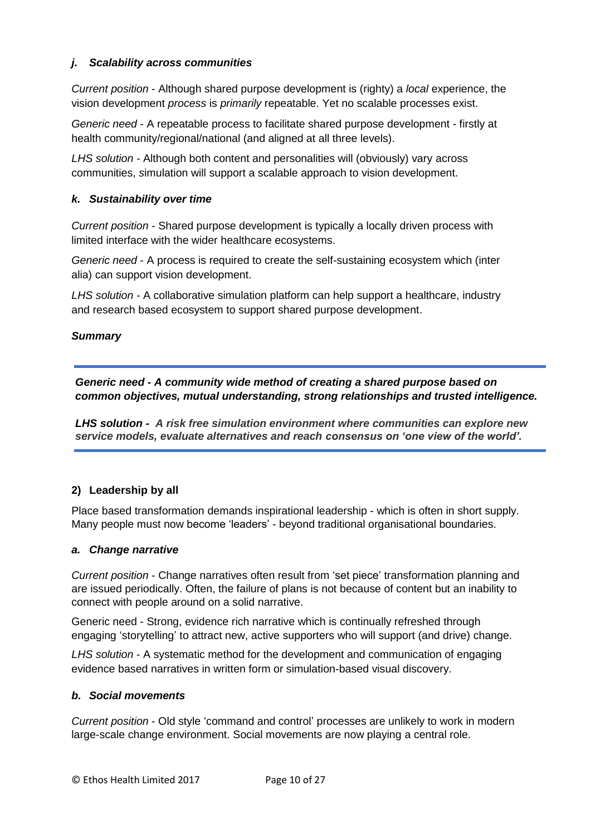# *j. Scalability across communities*

*Current position* - Although shared purpose development is (righty) a *local* experience, the vision development *process* is *primarily* repeatable. Yet no scalable processes exist.

*Generic need* - A repeatable process to facilitate shared purpose development - firstly at health community/regional/national (and aligned at all three levels).

*LHS solution -* Although both content and personalities will (obviously) vary across communities, *s*imulation will support a scalable approach to vision development.

# *k. Sustainability over time*

*Current position* - Shared purpose development is typically a locally driven process with limited interface with the wider healthcare ecosystems.

*Generic need* - A process is required to create the self-sustaining ecosystem which (inter alia) can support vision development.

*LHS solution -* A collaborative simulation platform can help support a healthcare, industry and research based ecosystem to support shared purpose development.

#### *Summary*

*Generic need - A community wide method of creating a shared purpose based on common objectives, mutual understanding, strong relationships and trusted intelligence.*

*LHS solution - A risk free simulation environment where communities can explore new service models, evaluate alternatives and reach consensus on 'one view of the world'.*

# **2) Leadership by all**

Place based transformation demands inspirational leadership - which is often in short supply. Many people must now become 'leaders' - beyond traditional organisational boundaries.

#### *a. Change narrative*

*Current position* - Change narratives often result from 'set piece' transformation planning and are issued periodically. Often, the failure of plans is not because of content but an inability to connect with people around on a solid narrative.

Generic need - Strong, evidence rich narrative which is continually refreshed through engaging 'storytelling' to attract new, active supporters who will support (and drive) change.

*LHS solution* - A systematic method for the development and communication of engaging evidence based narratives in written form or simulation-based visual discovery.

#### *b. Social movements*

*Current position* - Old style 'command and control' processes are unlikely to work in modern large-scale change environment. Social movements are now playing a central role.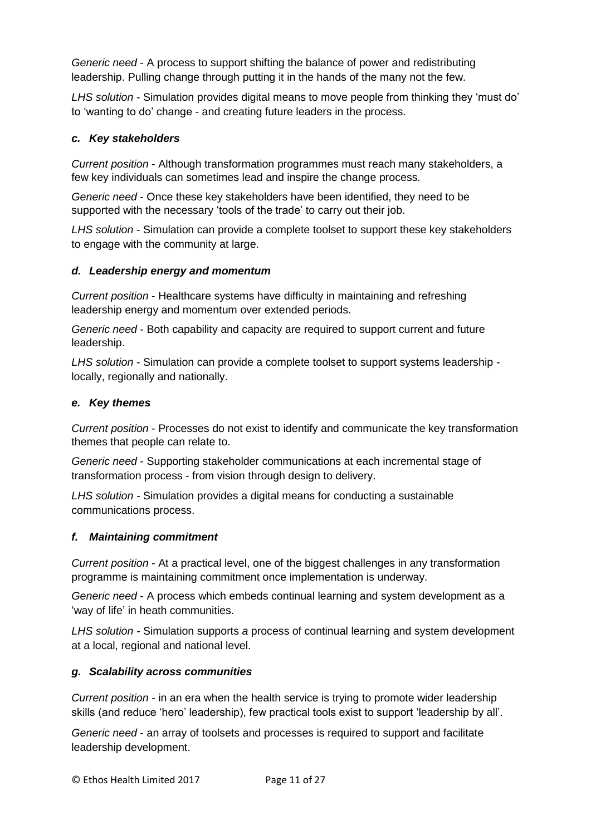*Generic need* - A process to support shifting the balance of power and redistributing leadership. Pulling change through putting it in the hands of the many not the few.

*LHS solution* - Simulation provides digital means to move people from thinking they 'must do' to 'wanting to do' change - and creating future leaders in the process.

# *c. Key stakeholders*

*Current position* - Although transformation programmes must reach many stakeholders, a few key individuals can sometimes lead and inspire the change process.

*Generic need* - Once these key stakeholders have been identified, they need to be supported with the necessary 'tools of the trade' to carry out their job.

*LHS solution* - Simulation can provide a complete toolset to support these key stakeholders to engage with the community at large.

# *d. Leadership energy and momentum*

*Current position* - Healthcare systems have difficulty in maintaining and refreshing leadership energy and momentum over extended periods.

*Generic need* - Both capability and capacity are required to support current and future leadership.

*LHS solution* - Simulation can provide a complete toolset to support systems leadership locally, regionally and nationally.

#### *e. Key themes*

*Current position* - Processes do not exist to identify and communicate the key transformation themes that people can relate to.

*Generic need* - Supporting stakeholder communications at each incremental stage of transformation process - from vision through design to delivery.

*LHS solution -* Simulation provides a digital means for conducting a sustainable communications process.

#### *f. Maintaining commitment*

*Current position* - At a practical level, one of the biggest challenges in any transformation programme is maintaining commitment once implementation is underway.

*Generic need* - A process which embeds continual learning and system development as a 'way of life' in heath communities.

*LHS solution -* Simulation supports *a* process of continual learning and system development at a local, regional and national level.

#### *g. Scalability across communities*

*Current position -* in an era when the health service is trying to promote wider leadership skills (and reduce 'hero' leadership), few practical tools exist to support 'leadership by all'.

*Generic need* - an array of toolsets and processes is required to support and facilitate leadership development.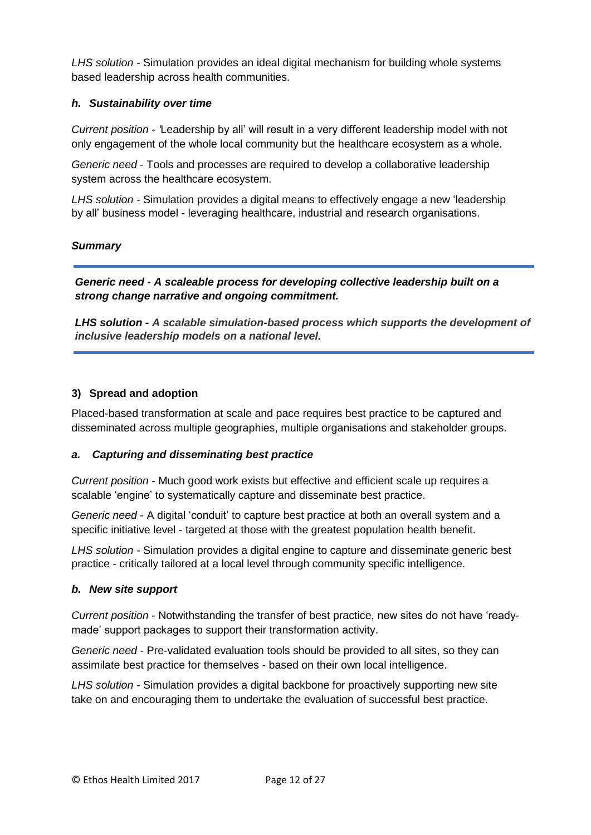*LHS solution -* Simulation provides an ideal digital mechanism for building whole systems based leadership across health communities.

# *h. Sustainability over time*

*Current position - '*Leadership by all' will result in a very different leadership model with not only engagement of the whole local community but the healthcare ecosystem as a whole.

*Generic need* - Tools and processes are required to develop a collaborative leadership system across the healthcare ecosystem.

*LHS solution -* Simulation provides a digital means to effectively engage a new 'leadership by all' business model - leveraging healthcare, industrial and research organisations.

# *Summary*

*Generic need - A scaleable process for developing collective leadership built on a strong change narrative and ongoing commitment.* 

*LHS solution - A scalable simulation-based process which supports the development of inclusive leadership models on a national level.*

# **3) Spread and adoption**

Placed-based transformation at scale and pace requires best practice to be captured and disseminated across multiple geographies, multiple organisations and stakeholder groups.

#### *a. Capturing and disseminating best practice*

*Current position -* Much good work exists but effective and efficient scale up requires a scalable 'engine' to systematically capture and disseminate best practice.

*Generic need* - A digital 'conduit' to capture best practice at both an overall system and a specific initiative level - targeted at those with the greatest population health benefit.

*LHS solution -* Simulation provides a digital engine to capture and disseminate generic best practice - critically tailored at a local level through community specific intelligence.

#### *b. New site support*

*Current position -* Notwithstanding the transfer of best practice, new sites do not have 'readymade' support packages to support their transformation activity.

*Generic need -* Pre-validated evaluation tools should be provided to all sites, so they can assimilate best practice for themselves - based on their own local intelligence.

*LHS solution -* Simulation provides a digital backbone for proactively supporting new site take on and encouraging them to undertake the evaluation of successful best practice.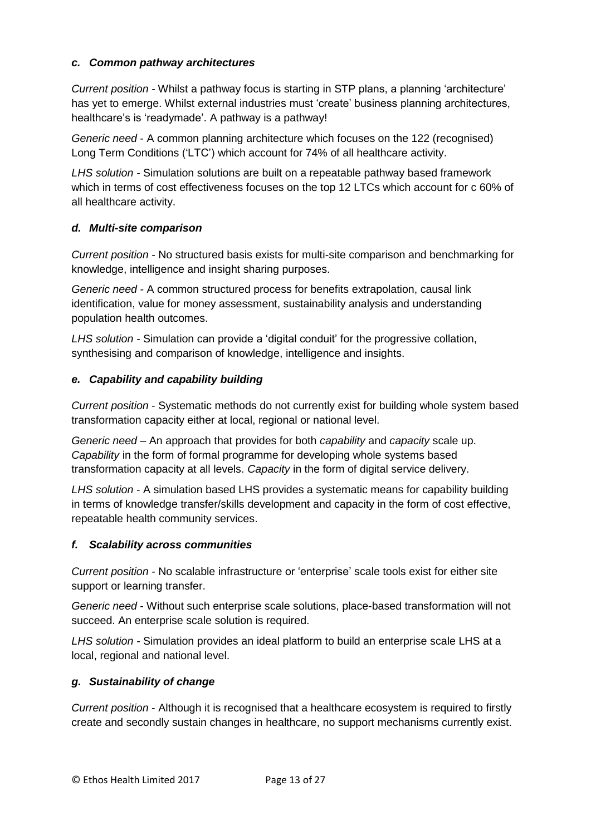# *c. Common pathway architectures*

*Current position -* Whilst a pathway focus is starting in STP plans, a planning 'architecture' has yet to emerge. Whilst external industries must 'create' business planning architectures, healthcare's is 'readymade'. A pathway is a pathway!

*Generic need* - A common planning architecture which focuses on the 122 (recognised) Long Term Conditions ('LTC') which account for 74% of all healthcare activity.

*LHS solution -* Simulation solutions are built on a repeatable pathway based framework which in terms of cost effectiveness focuses on the top 12 LTCs which account for c 60% of all healthcare activity.

# *d. Multi-site comparison*

*Current position -* No structured basis exists for multi-site comparison and benchmarking for knowledge, intelligence and insight sharing purposes.

*Generic need -* A common structured process for benefits extrapolation, causal link identification, value for money assessment, sustainability analysis and understanding population health outcomes.

*LHS solution -* Simulation can provide a 'digital conduit' for the progressive collation, synthesising and comparison of knowledge, intelligence and insights.

# *e. Capability and capability building*

*Current position* - Systematic methods do not currently exist for building whole system based transformation capacity either at local, regional or national level.

*Generic need –* An approach that provides for both *capability* and *capacity* scale up. *Capability* in the form of formal programme for developing whole systems based transformation capacity at all levels. *Capacity* in the form of digital service delivery.

*LHS solution* - A simulation based LHS provides a systematic means for capability building in terms of knowledge transfer/skills development and capacity in the form of cost effective, repeatable health community services.

# *f. Scalability across communities*

*Current position -* No scalable infrastructure or 'enterprise' scale tools exist for either site support or learning transfer.

*Generic need* - Without such enterprise scale solutions, place-based transformation will not succeed. An enterprise scale solution is required.

*LHS solution -* Simulation provides an ideal platform to build an enterprise scale LHS at a local, regional and national level.

#### *g. Sustainability of change*

*Current position* - Although it is recognised that a healthcare ecosystem is required to firstly create and secondly sustain changes in healthcare, no support mechanisms currently exist.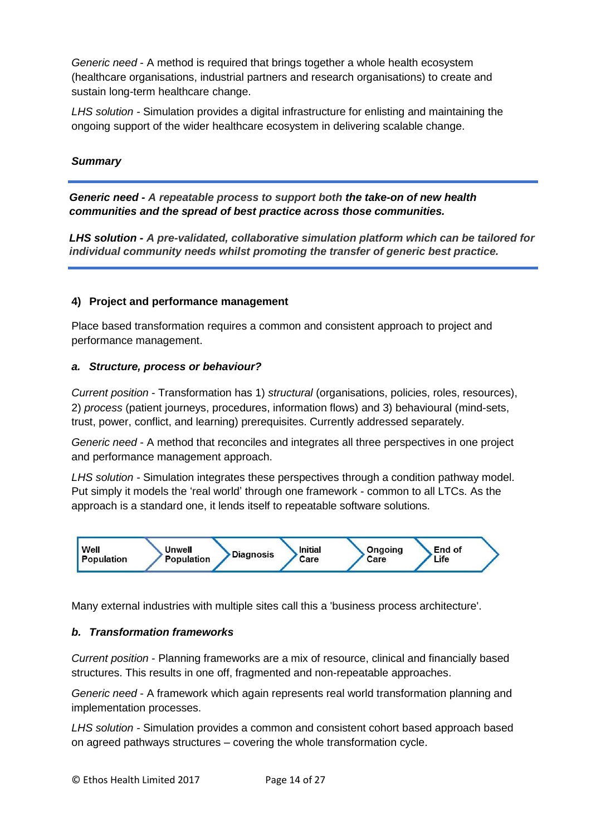*Generic need* - A method is required that brings together a whole health ecosystem (healthcare organisations, industrial partners and research organisations) to create and sustain long-term healthcare change.

*LHS solution -* Simulation provides a digital infrastructure for enlisting and maintaining the ongoing support of the wider healthcare ecosystem in delivering scalable change.

#### *Summary*

*Generic need - A repeatable process to support both the take-on of new health communities and the spread of best practice across those communities.*

*LHS solution - A pre-validated, collaborative simulation platform which can be tailored for individual community needs whilst promoting the transfer of generic best practice.*

#### **4) Project and performance management**

Place based transformation requires a common and consistent approach to project and performance management.

#### *a. Structure, process or behaviour?*

*Current position* - Transformation has 1) *structural* (organisations, policies, roles, resources), 2) *process* (patient journeys, procedures, information flows) and 3) behavioural (mind-sets, trust, power, conflict, and learning) prerequisites. Currently addressed separately.

*Generic need* - A method that reconciles and integrates all three perspectives in one project and performance management approach.

*LHS solution -* Simulation integrates these perspectives through a condition pathway model. Put simply it models the 'real world' through one framework - common to all LTCs. As the approach is a standard one, it lends itself to repeatable software solutions.



Many external industries with multiple sites call this a 'business process architecture'.

#### *b. Transformation frameworks*

*Current position* - Planning frameworks are a mix of resource, clinical and financially based structures. This results in one off, fragmented and non-repeatable approaches.

*Generic need* - A framework which again represents real world transformation planning and implementation processes.

*LHS solution -* Simulation provides a common and consistent cohort based approach based on agreed pathways structures – covering the whole transformation cycle.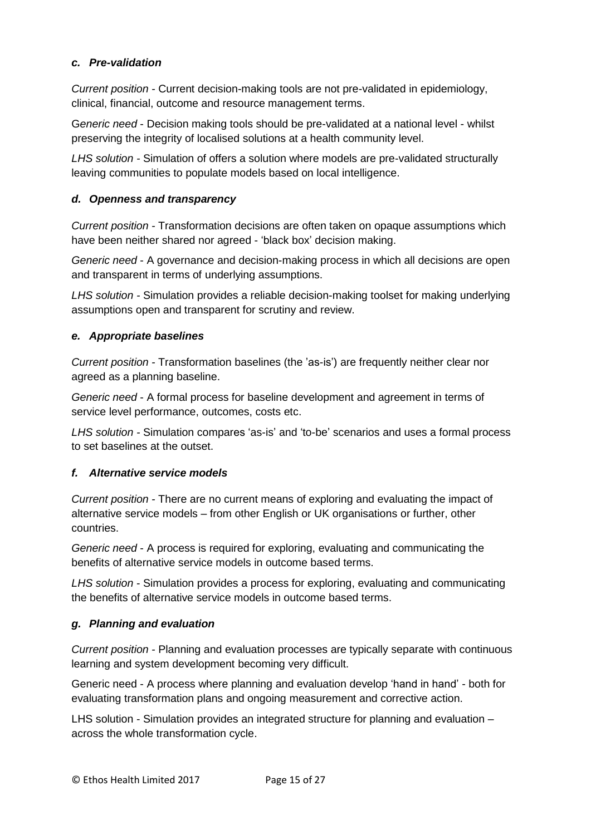# *c. Pre-validation*

*Current position -* Current decision-making tools are not pre-validated in epidemiology, clinical, financial, outcome and resource management terms.

G*eneric need* - Decision making tools should be pre-validated at a national level - whilst preserving the integrity of localised solutions at a health community level.

*LHS solution -* Simulation of offers a solution where models are pre-validated structurally leaving communities to populate models based on local intelligence.

# *d. Openness and transparency*

*Current position -* Transformation decisions are often taken on opaque assumptions which have been neither shared nor agreed - 'black box' decision making.

*Generic need* - A governance and decision-making process in which all decisions are open and transparent in terms of underlying assumptions.

*LHS solution -* Simulation provides a reliable decision-making toolset for making underlying assumptions open and transparent for scrutiny and review.

# *e. Appropriate baselines*

*Current position -* Transformation baselines (the 'as-is') are frequently neither clear nor agreed as a planning baseline.

*Generic need* - A formal process for baseline development and agreement in terms of service level performance, outcomes, costs etc.

*LHS solution -* Simulation compares 'as-is' and 'to-be' scenarios and uses a formal process to set baselines at the outset.

# *f. Alternative service models*

*Current position -* There are no current means of exploring and evaluating the impact of alternative service models – from other English or UK organisations or further, other countries.

*Generic need* - A process is required for exploring, evaluating and communicating the benefits of alternative service models in outcome based terms.

*LHS solution* - Simulation provides a process for exploring, evaluating and communicating the benefits of alternative service models in outcome based terms.

# *g. Planning and evaluation*

*Current position -* Planning and evaluation processes are typically separate with continuous learning and system development becoming very difficult.

Generic need - A process where planning and evaluation develop 'hand in hand' - both for evaluating transformation plans and ongoing measurement and corrective action.

LHS solution - Simulation provides an integrated structure for planning and evaluation – across the whole transformation cycle.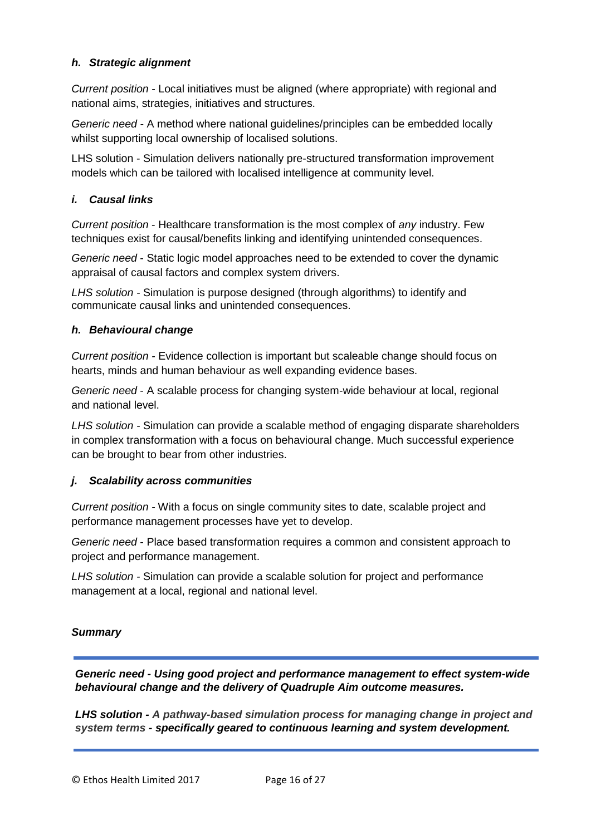# *h. Strategic alignment*

*Current position -* Local initiatives must be aligned (where appropriate) with regional and national aims, strategies, initiatives and structures.

*Generic need -* A method where national guidelines/principles can be embedded locally whilst supporting local ownership of localised solutions.

LHS solution - Simulation delivers nationally pre-structured transformation improvement models which can be tailored with localised intelligence at community level.

# *i. Causal links*

*Current position* - Healthcare transformation is the most complex of *any* industry. Few techniques exist for causal/benefits linking and identifying unintended consequences.

*Generic need* - Static logic model approaches need to be extended to cover the dynamic appraisal of causal factors and complex system drivers.

*LHS solution -* Simulation is purpose designed (through algorithms) to identify and communicate *c*ausal links and unintended consequences.

#### *h. Behavioural change*

*Current position -* Evidence collection is important but scaleable change should focus on hearts, minds and human behaviour as well expanding evidence bases.

*Generic need* - A scalable process for changing system-wide behaviour at local, regional and national level.

*LHS solution -* Simulation can provide a scalable method of engaging disparate shareholders in complex transformation with a focus on behavioural change. Much successful experience can be brought to bear from other industries.

#### *j. Scalability across communities*

*Current position -* With a focus on single community sites to date, scalable project and performance management processes have yet to develop.

*Generic need* - Place based transformation requires a common and consistent approach to project and performance management.

*LHS solution -* Simulation can provide a scalable solution for project and performance management at a local, regional and national level.

#### *Summary*

*Generic need - Using good project and performance management to effect system-wide behavioural change and the delivery of Quadruple Aim outcome measures.*

*LHS solution - A pathway-based simulation process for managing change in project and system terms - specifically geared to continuous learning and system development.* 

© Ethos Health Limited 2017 Page 16 of 27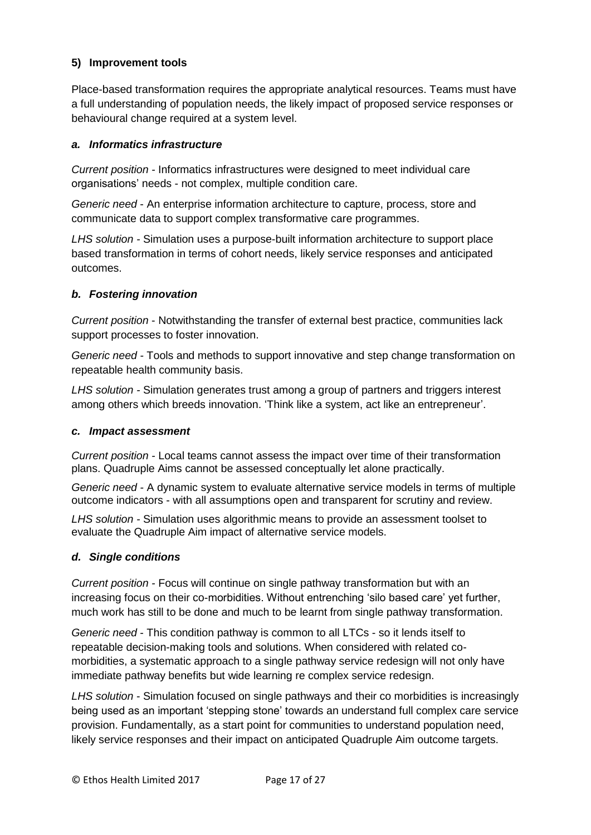# **5) Improvement tools**

Place-based transformation requires the appropriate analytical resources. Teams must have a full understanding of population needs, the likely impact of proposed service responses or behavioural change required at a system level.

#### *a. Informatics infrastructure*

*Current position -* Informatics infrastructures were designed to meet individual care organisations' needs - not complex, multiple condition care.

*Generic need* - An enterprise information architecture to capture, process, store and communicate data to support complex transformative care programmes.

*LHS solution -* Simulation uses a purpose-built information architecture to support place based transformation in terms of cohort needs, likely service responses and anticipated outcomes.

# *b. Fostering innovation*

*Current position* - Notwithstanding the transfer of external best practice, communities lack support processes to foster innovation.

*Generic need -* Tools and methods to support innovative and step change transformation on repeatable health community basis.

*LHS solution -* Simulation generates trust among a group of partners and triggers interest among others which breeds innovation. 'Think like a system, act like an entrepreneur'.

#### *c. Impact assessment*

*Current position -* Local teams cannot assess the impact over time of their transformation plans. Quadruple Aims cannot be assessed conceptually let alone practically.

*Generic need -* A dynamic system to evaluate alternative service models in terms of multiple outcome indicators - with all assumptions open and transparent for scrutiny and review.

*LHS solution -* Simulation uses algorithmic means to provide an assessment toolset to evaluate the Quadruple Aim impact of alternative service models.

#### *d. Single conditions*

*Current position -* Focus will continue on single pathway transformation but with an increasing focus on their co-morbidities. Without entrenching 'silo based care' yet further, much work has still to be done and much to be learnt from single pathway transformation.

*Generic need* - This condition pathway is common to all LTCs - so it lends itself to repeatable decision-making tools and solutions. When considered with related comorbidities, a systematic approach to a single pathway service redesign will not only have immediate pathway benefits but wide learning re complex service redesign.

*LHS solution* - Simulation focused on single pathways and their co morbidities is increasingly being used as an important 'stepping stone' towards an understand full complex care service provision. Fundamentally, as a start point for communities to understand population need, likely service responses and their impact on anticipated Quadruple Aim outcome targets.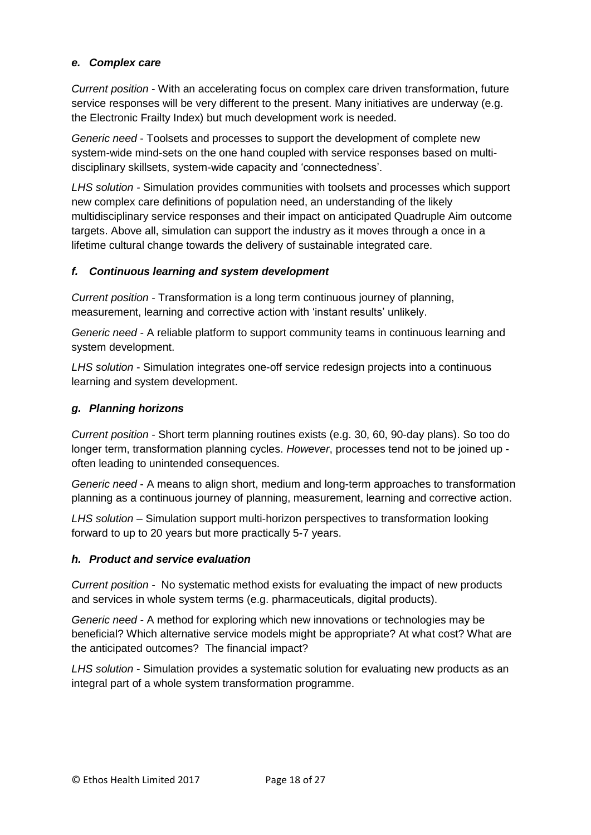# *e. Complex care*

*Current position* - With an accelerating focus on complex care driven transformation, future service responses will be very different to the present. Many initiatives are underway (e.g. the Electronic Frailty Index) but much development work is needed.

*Generic need* - Toolsets and processes to support the development of complete new system-wide mind-sets on the one hand coupled with service responses based on multidisciplinary skillsets, system-wide capacity and 'connectedness'.

*LHS solution -* Simulation provides communities with toolsets and processes which support new complex care definitions of population need, an understanding of the likely multidisciplinary service responses and their impact on anticipated Quadruple Aim outcome targets. Above all, simulation can support the industry as it moves through a once in a lifetime cultural change towards the delivery of sustainable integrated care.

# *f. Continuous learning and system development*

*Current position -* Transformation is a long term continuous journey of planning, measurement, learning and corrective action with 'instant results' unlikely.

*Generic need -* A reliable platform to support community teams in continuous learning and system development.

*LHS solution* - Simulation integrates one-off service redesign projects into a continuous learning and system development.

# *g. Planning horizons*

*Current position -* Short term planning routines exists (e.g. 30, 60, 90-day plans). So too do longer term, transformation planning cycles. *However*, processes tend not to be joined up often leading to unintended consequences.

*Generic need* - A means to align short, medium and long-term approaches to transformation planning as a continuous journey of planning, measurement, learning and corrective action.

*LHS solution* – Simulation support multi-horizon perspectives to transformation looking forward to up to 20 years but more practically 5-7 years.

#### *h. Product and service evaluation*

*Current position -* No systematic method exists for evaluating the impact of new products and services in whole system terms (e.g. pharmaceuticals, digital products).

*Generic need -* A method for exploring which new innovations or technologies may be beneficial? Which alternative service models might be appropriate? At what cost? What are the anticipated outcomes? The financial impact?

*LHS solution* - Simulation provides a systematic solution for evaluating new products as an integral part of a whole system transformation programme.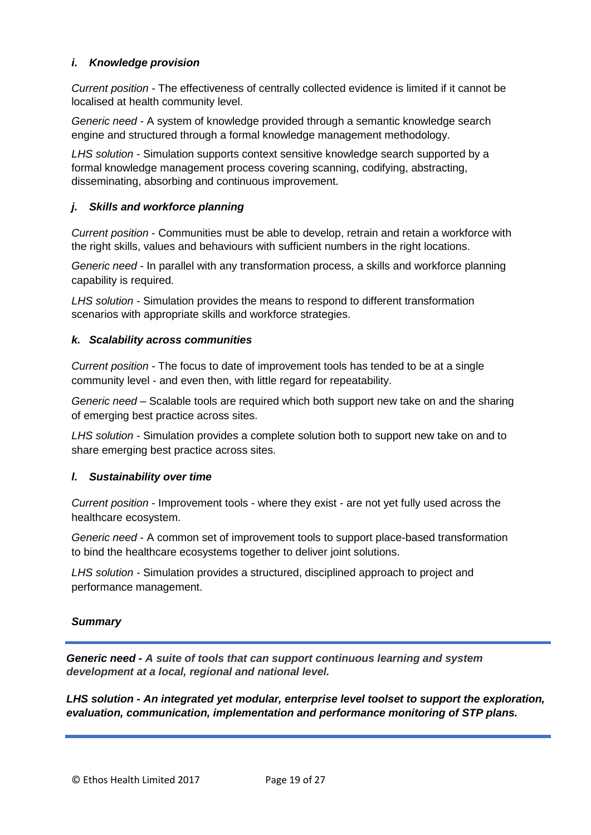# *i. Knowledge provision*

*Current position -* The effectiveness of centrally collected evidence is limited if it cannot be localised at health community level.

*Generic need -* A system of knowledge provided through a semantic knowledge search engine and structured through a formal knowledge management methodology.

*LHS solution* - Simulation supports context sensitive knowledge search supported by a formal knowledge management process covering scanning, codifying, abstracting, disseminating, absorbing and continuous improvement.

# *j. Skills and workforce planning*

*Current position* - Communities must be able to develop, retrain and retain a workforce with the right skills, values and behaviours with sufficient numbers in the right locations.

*Generic need* - In parallel with any transformation process, a skills and workforce planning capability is required.

*LHS solution -* Simulation provides the means to respond to different transformation scenarios with appropriate skills and workforce strategies.

#### *k. Scalability across communities*

*Current position -* The focus to date of improvement tools has tended to be at a single community level - and even then, with little regard for repeatability.

*Generic need* – Scalable tools are required which both support new take on and the sharing of emerging best practice across sites.

*LHS solution -* Simulation provides a complete solution both to support new take on and to share emerging best practice across sites.

#### *l. Sustainability over time*

*Current position* - Improvement tools - where they exist - are not yet fully used across the healthcare ecosystem.

*Generic need* - A common set of improvement tools to support place-based transformation to bind the healthcare ecosystems together to deliver joint solutions.

*LHS solution -* Simulation provides a structured, disciplined approach to project and performance management.

#### *Summary*

*Generic need - A suite of tools that can support continuous learning and system development at a local, regional and national level.*

*LHS solution* **-** *An integrated yet modular, enterprise level toolset to support the exploration, evaluation, communication, implementation and performance monitoring of STP plans.*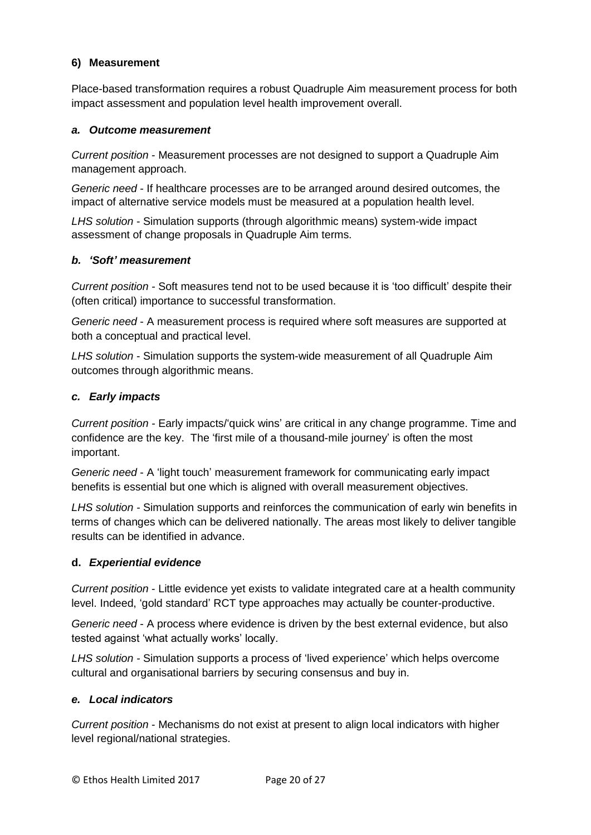# **6) Measurement**

Place-based transformation requires a robust Quadruple Aim measurement process for both impact assessment and population level health improvement overall.

#### *a. Outcome measurement*

*Current position* - Measurement processes are not designed to support a Quadruple Aim management approach.

*Generic need* - If healthcare processes are to be arranged around desired outcomes, the impact of alternative service models must be measured at a population health level.

*LHS solution* - Simulation supports (through algorithmic means) system-wide impact assessment of change proposals in Quadruple Aim terms.

# *b. 'Soft' measurement*

*Current position -* Soft measures tend not to be used because it is 'too difficult' despite their (often critical) importance to successful transformation.

*Generic need* - A measurement process is required where soft measures are supported at both a conceptual and practical level.

*LHS solution* - Simulation supports the system-wide measurement of all Quadruple Aim outcomes through algorithmic means.

# *c. Early impacts*

*Current position -* Early impacts/'quick wins' are critical in any change programme. Time and confidence are the key. The 'first mile of a thousand-mile journey' is often the most important.

*Generic need* - A 'light touch' measurement framework for communicating early impact benefits is essential but one which is aligned with overall measurement objectives.

*LHS solution -* Simulation supports and reinforces the communication of early win benefits in terms of changes which can be delivered nationally. The areas most likely to deliver tangible results can be identified in advance.

#### **d.** *Experiential evidence*

*Current position* - Little evidence yet exists to validate integrated care at a health community level. Indeed, 'gold standard' RCT type approaches may actually be counter-productive.

*Generic need* - A process where evidence is driven by the best external evidence, but also tested against 'what actually works' locally.

*LHS solution -* Simulation supports a process of 'lived experience' which helps overcome cultural and organisational barriers by securing consensus and buy in.

#### *e. Local indicators*

*Current position* - Mechanisms do not exist at present to align local indicators with higher level regional/national strategies.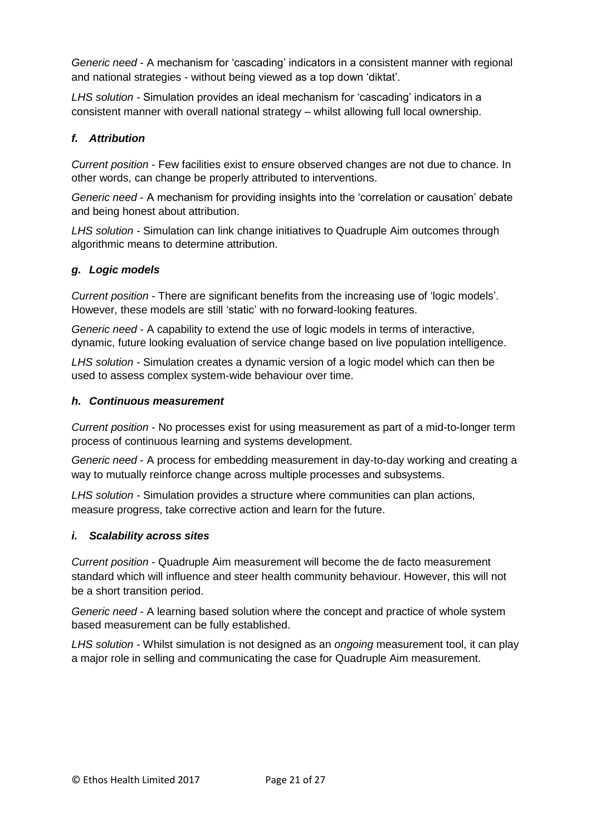*Generic need* - A mechanism for 'cascading' indicators in a consistent manner with regional and national strategies - without being viewed as a top down 'diktat'.

*LHS solution -* Simulation provides an ideal mechanism for 'cascading' indicators in a consistent manner with overall national strategy – whilst allowing full local ownership.

# *f. Attribution*

*Current position* - Few facilities exist to *e*nsure observed changes are not due to chance. In other words, can change be properly attributed to interventions.

*Generic need* - A mechanism for providing insights into the 'correlation or causation' debate and being honest about attribution.

*LHS solution -* Simulation can link change initiatives to Quadruple Aim outcomes through algorithmic means to determine attribution.

# *g. Logic models*

*Current position -* There are significant benefits from the increasing use of 'logic models'. However, these models are still 'static' with no forward-looking features.

*Generic need* - A capability to extend the use of logic models in terms of interactive, dynamic, future looking evaluation of service change based on live population intelligence.

*LHS solution -* Simulation creates a dynamic version of a logic model which can then be used to assess complex system-wide behaviour over time.

#### *h. Continuous measurement*

*Current position* - No processes exist for using measurement as part of a mid-to-longer term process of continuous learning and systems development.

*Generic need* - A process for embedding measurement in day-to-day working and creating a way to mutually reinforce change across multiple processes and subsystems.

*LHS solution -* Simulation provides a structure where communities can plan actions, measure progress, take corrective action and learn for the future.

# *i. Scalability across sites*

*Current position* - Quadruple Aim measurement will become the de facto measurement standard which will influence and steer health community behaviour. However, this will not be a short transition period.

*Generic need* - A learning based solution where the concept and practice of whole system based measurement can be fully established.

*LHS solution -* Whilst simulation is not designed as an *ongoing* measurement tool, it can play a major role in selling and communicating the case for Quadruple Aim measurement.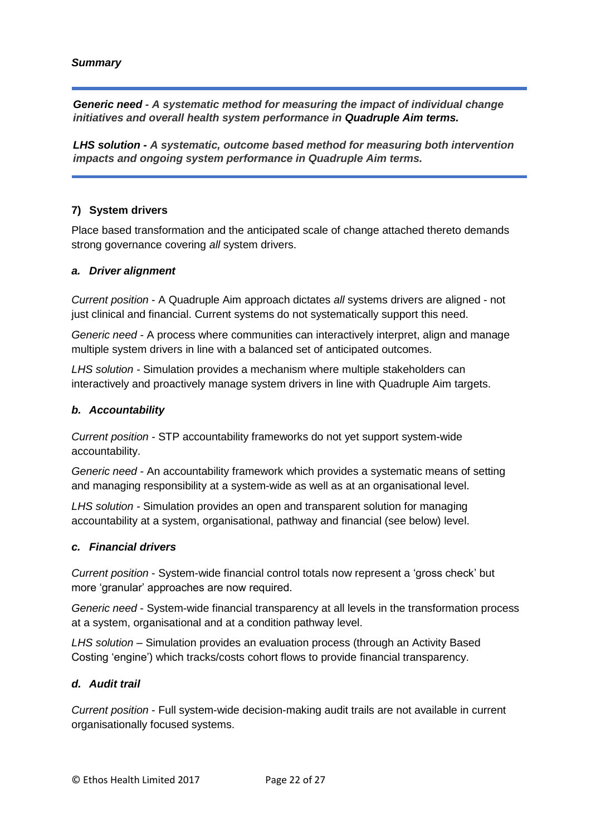# *Summary*

*Generic need - A systematic method for measuring the impact of individual change initiatives and overall health system performance in Quadruple Aim terms.* 

*LHS solution - A systematic, outcome based method for measuring both intervention impacts and ongoing system performance in Quadruple Aim terms.*

# **7) System drivers**

Place based transformation and the anticipated scale of change attached thereto demands strong governance covering *all* system drivers.

#### *a. Driver alignment*

*Current position* - A Quadruple Aim approach dictates *all* systems drivers are aligned - not just clinical and financial. Current systems do not systematically support this need.

*Generic need -* A process where communities can interactively interpret, align and manage multiple system drivers in line with a balanced set of anticipated outcomes.

*LHS solution -* Simulation provides a mechanism where multiple stakeholders can interactively and proactively manage system drivers in line with Quadruple Aim targets.

#### *b. Accountability*

*Current position -* STP accountability frameworks do not yet support system-wide accountability.

*Generic need -* An accountability framework which provides a systematic means of setting and managing responsibility at a system-wide as well as at an organisational level.

*LHS solution -* Simulation provides an open and transparent solution for managing accountability at a system, organisational, pathway and financial (see below) level.

#### *c. Financial drivers*

*Current position* - System-wide financial control totals now represent a 'gross check' but more 'granular' approaches are now required.

*Generic need* - System-wide financial transparency at all levels in the transformation process at a system, organisational and at a condition pathway level.

*LHS solution –* Simulation provides an evaluation process (through an Activity Based Costing 'engine') which tracks/costs cohort flows to provide financial transparency.

#### *d. Audit trail*

*Current position* - Full system-wide decision-making audit trails are not available in current organisationally focused systems.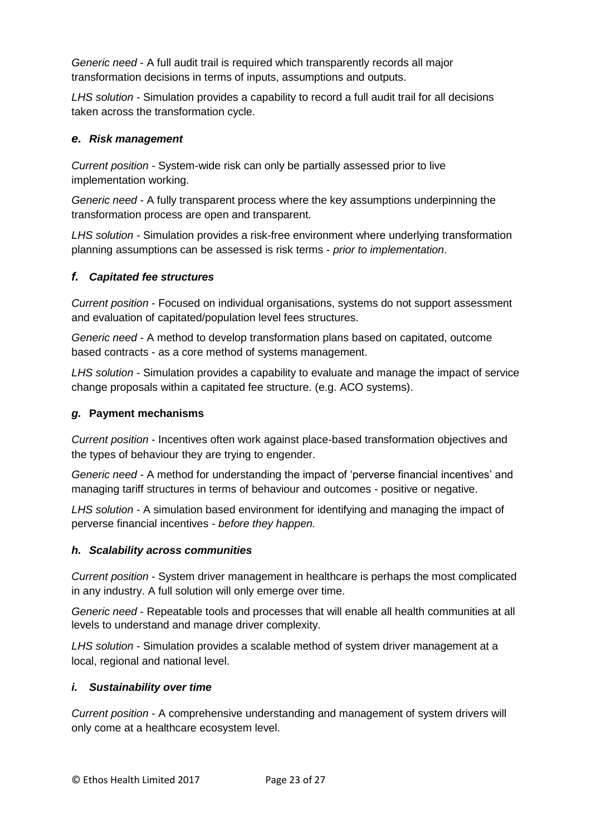*Generic need* - A full audit trail is required which transparently records all major transformation decisions in terms of inputs, assumptions and outputs.

*LHS solution* - Simulation provides a capability to record a full audit trail for all decisions taken across the transformation cycle.

# *e. Risk management*

*Current position -* System-wide risk can only be partially assessed prior to live implementation working.

*Generic need -* A fully transparent process where the key assumptions underpinning the transformation process are open and transparent.

*LHS solution -* Simulation provides a risk-free environment where underlying transformation planning assumptions can be assessed is risk terms - *prior to implementation*.

# *f. Capitated fee structures*

*Current position* - Focused on individual organisations, systems do not support assessment and evaluation of capitated/population level fees structures.

*Generic need -* A method to develop transformation plans based on capitated, outcome based contracts - as a core method of systems management.

*LHS solution* - Simulation provides a capability to evaluate and manage the impact of service change proposals within a capitated fee structure. (e.g. ACO systems).

# *g.* **Payment mechanisms**

*Current position* - Incentives often work against place-based transformation objectives and the types of behaviour they are trying to engender.

*Generic need -* A method for understanding the impact of 'perverse financial incentives' and managing tariff structures in terms of behaviour and outcomes - positive or negative.

*LHS solution* - A simulation based environment for identifying and managing the impact of perverse financial incentives - *before they happen.*

# *h. Scalability across communities*

*Current position* - System driver management in healthcare is perhaps the most complicated in any industry. A full solution will only emerge over time.

*Generic need* - Repeatable tools and processes that will enable all health communities at all levels to understand and manage driver complexity.

*LHS solution* - Simulation provides a scalable method of system driver management at a local, regional and national level.

#### *i. Sustainability over time*

*Current position* - A comprehensive understanding and management of system drivers will only come at a healthcare ecosystem level.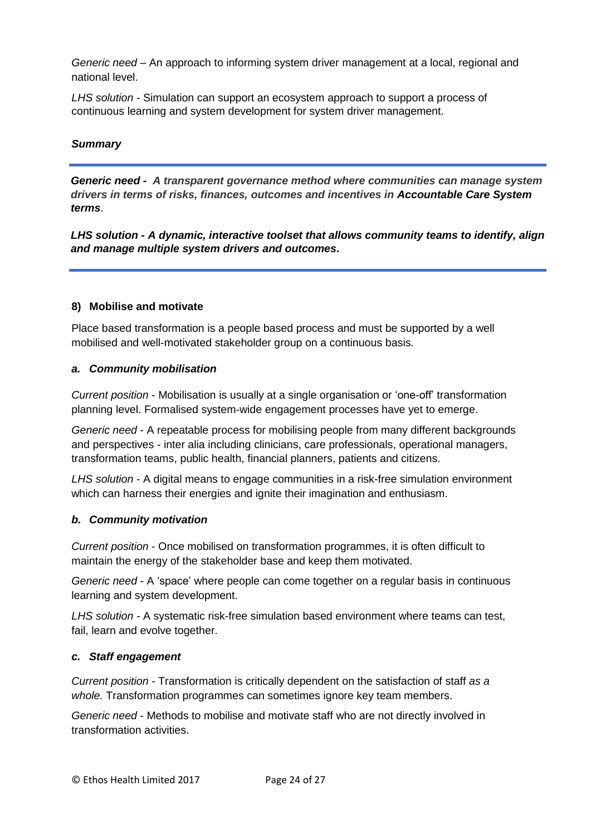*Generic need* – An approach to informing system driver management at a local, regional and national level.

*LHS solution -* Simulation can support an ecosystem approach to support a process of continuous learning and system development for system driver management.

# *Summary*

*Generic need - A transparent governance method where communities can manage system drivers in terms of risks, finances, outcomes and incentives in Accountable Care System terms*.

*LHS solution - A dynamic, interactive toolset that allows community teams to identify, align and manage multiple system drivers and outcomes.*

#### **8) Mobilise and motivate**

Place based transformation is a people based process and must be supported by a well mobilised and well-motivated stakeholder group on a continuous basis.

#### *a. Community mobilisation*

*Current position* - Mobilisation is usually at a single organisation or 'one-off' transformation planning level. Formalised system-wide engagement processes have yet to emerge.

*Generic need* - A repeatable process for mobilising people from many different backgrounds and perspectives - inter alia including clinicians, care professionals, operational managers, transformation teams, public health, financial planners, patients and citizens.

*LHS solution* - A digital means to engage communities in a risk-free simulation environment which can harness their energies and ignite their imagination and enthusiasm.

#### *b. Community motivation*

*Current position* - Once mobilised on transformation programmes, it is often difficult to maintain the energy of the stakeholder base and keep them motivated.

*Generic need -* A 'space' where people can come together on a regular basis in continuous learning and system development.

*LHS solution -* A systematic risk-free simulation based environment where teams can test, fail, learn and evolve together.

#### *c. Staff engagement*

*Current position -* Transformation is critically dependent on the satisfaction of staff *as a whole.* Transformation programmes can sometimes ignore key team members.

*Generic need* - Methods to mobilise and motivate staff who are not directly involved in transformation activities.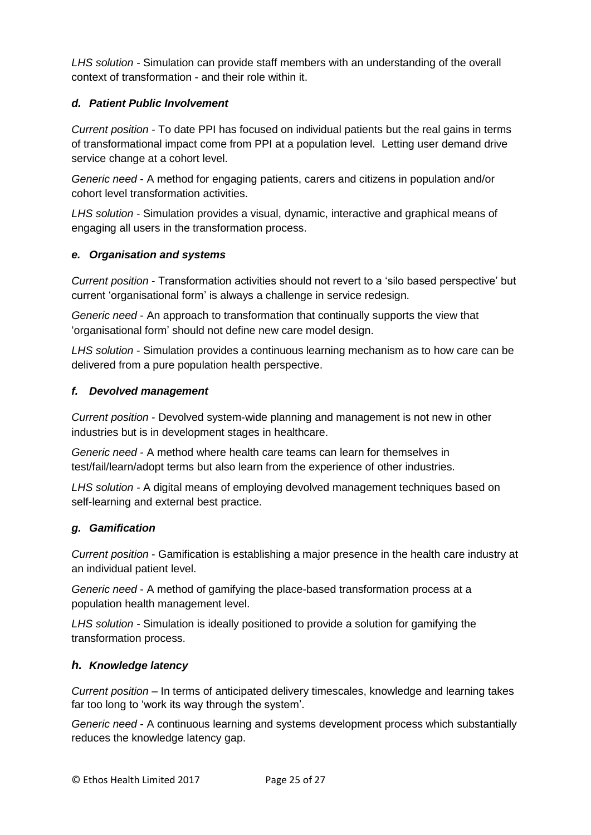*LHS solution -* Simulation can provide staff members with an understanding of the overall context of transformation - and their role within it.

# *d. Patient Public Involvement*

*Current position -* To date PPI has focused on individual patients but the real gains in terms of transformational impact come from PPI at a population level. Letting user demand drive service change at a cohort level.

*Generic need* - A method for engaging patients, carers and citizens in population and/or cohort level transformation activities.

*LHS solution* - Simulation provides a visual, dynamic, interactive and graphical means of engaging all users in the transformation process.

# *e. Organisation and systems*

*Current position* - Transformation activities should not revert to a 'silo based perspective' but current 'organisational form' is always a challenge in service redesign.

*Generic need* - An approach to transformation that continually supports the view that 'organisational form' should not define new care model design.

*LHS solution* - Simulation provides a continuous learning mechanism as to how care can be delivered from a pure population health perspective.

# *f. Devolved management*

*Current position* - Devolved system-wide planning and management is not new in other industries but is in development stages in healthcare.

*Generic need* - A method where health care teams can learn for themselves in test/fail/learn/adopt terms but also learn from the experience of other industries.

*LHS solution -* A digital means of employing devolved management techniques based on self-learning and external best practice.

# *g. Gamification*

*Current position* - Gamification is establishing a major presence in the health care industry at an individual patient level.

*Generic need* - A method of gamifying the place-based transformation process at a population health management level.

*LHS solution -* Simulation is ideally positioned to provide a solution for gamifying the transformation process.

# *h. Knowledge latency*

*Current position* – In terms of anticipated delivery timescales, knowledge and learning takes far too long to 'work its way through the system'.

*Generic need* - A continuous learning and systems development process which substantially reduces the knowledge latency gap.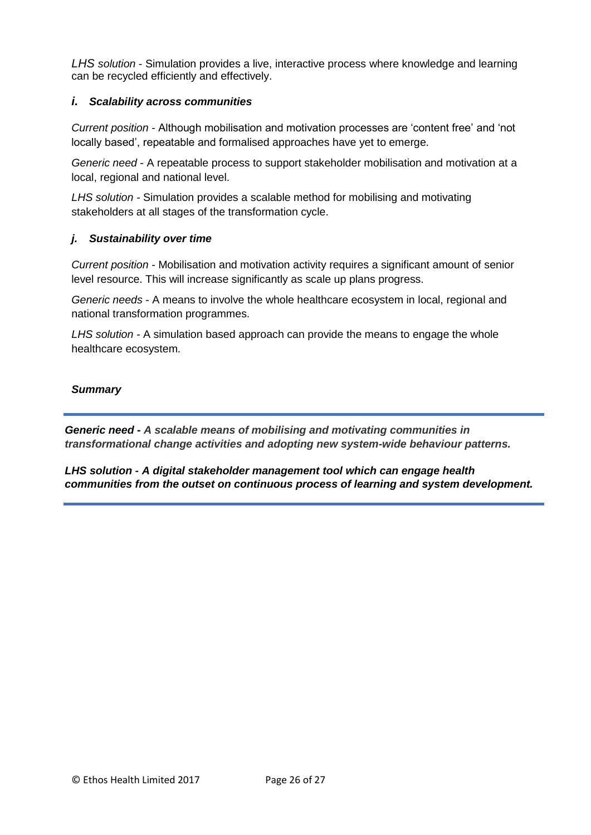*LHS solution* - Simulation provides a live, interactive process where knowledge and learning can be recycled efficiently and effectively.

# *i. Scalability across communities*

*Current position -* Although mobilisation and motivation processes are 'content free' and 'not locally based', repeatable and formalised approaches have yet to emerge.

*Generic need* - A repeatable process to support stakeholder mobilisation and motivation at a local, regional and national level.

*LHS solution -* Simulation provides a scalable method for mobilising and motivating stakeholders at all stages of the transformation cycle.

# *j. Sustainability over time*

*Current position -* Mobilisation and motivation activity requires a significant amount of senior level resource. This will increase significantly as scale up plans progress.

*Generic needs* - A means to involve the whole healthcare ecosystem in local, regional and national transformation programmes.

*LHS solution -* A simulation based approach can provide the means to engage the whole healthcare ecosystem.

# *Summary*

*Generic need - A scalable means of mobilising and motivating communities in transformational change activities and adopting new system-wide behaviour patterns.*

*LHS solution - A digital stakeholder management tool which can engage health communities from the outset on continuous process of learning and system development.*